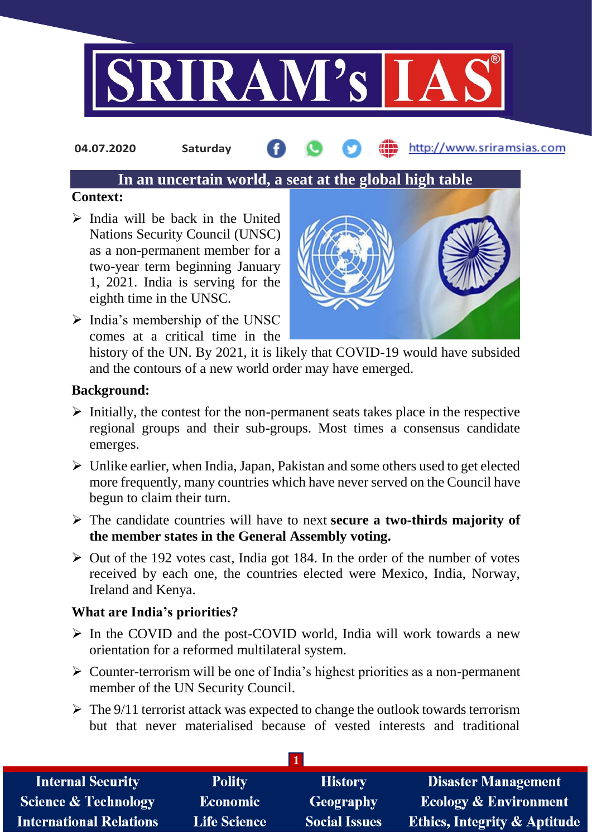

**04.07.2020 Saturday**

http://www.sriramsias.com

# **In an uncertain world, a seat at the global high table**

### **Context:**

- $\triangleright$  India will be back in the United Nations Security Council (UNSC) as a non-permanent member for a two-year term beginning January 1, 2021. India is serving for the eighth time in the UNSC.
- $\triangleright$  India's membership of the UNSC comes at a critical time in the



history of the UN. By 2021, it is likely that COVID-19 would have subsided and the contours of a new world order may have emerged.

# **Background:**

- $\triangleright$  Initially, the contest for the non-permanent seats takes place in the respective regional groups and their sub-groups. Most times a consensus candidate emerges.
- $\triangleright$  Unlike earlier, when India, Japan, Pakistan and some others used to get elected more frequently, many countries which have never served on the Council have begun to claim their turn.
- The candidate countries will have to next **secure a two-thirds majority of the member states in the General Assembly voting.**
- $\triangleright$  Out of the 192 votes cast, India got 184. In the order of the number of votes received by each one, the countries elected were Mexico, India, Norway, Ireland and Kenya.

# **What are India's priorities?**

- $\triangleright$  In the COVID and the post-COVID world, India will work towards a new orientation for a reformed multilateral system.
- $\triangleright$  Counter-terrorism will be one of India's highest priorities as a non-permanent member of the UN Security Council.
- $\triangleright$  The 9/11 terrorist attack was expected to change the outlook towards terrorism but that never materialised because of vested interests and traditional

| <b>Internal Security</b>        | <b>Polity</b>       | <b>History</b>       | <b>Disaster Management</b>              |
|---------------------------------|---------------------|----------------------|-----------------------------------------|
| <b>Science &amp; Technology</b> | <b>Economic</b>     | Geography            | <b>Ecology &amp; Environment</b>        |
| <b>International Relations</b>  | <b>Life Science</b> | <b>Social Issues</b> | <b>Ethics, Integrity &amp; Aptitude</b> |